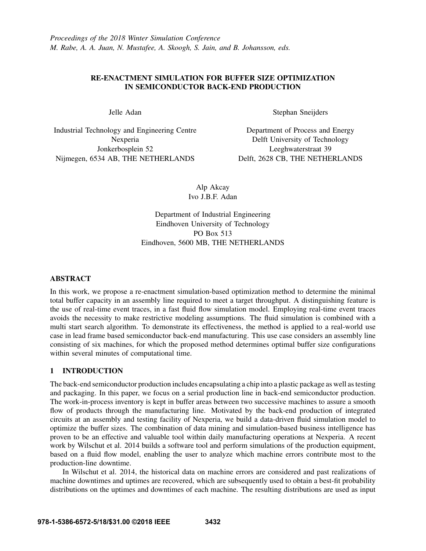# RE-ENACTMENT SIMULATION FOR BUFFER SIZE OPTIMIZATION IN SEMICONDUCTOR BACK-END PRODUCTION

Jelle Adan

Industrial Technology and Engineering Centre Nexperia Jonkerbosplein 52 Nijmegen, 6534 AB, THE NETHERLANDS

Stephan Sneijders

Department of Process and Energy Delft University of Technology Leeghwaterstraat 39 Delft, 2628 CB, THE NETHERLANDS

Alp Akcay Ivo J.B.F. Adan

Department of Industrial Engineering Eindhoven University of Technology PO Box 513 Eindhoven, 5600 MB, THE NETHERLANDS

## ABSTRACT

In this work, we propose a re-enactment simulation-based optimization method to determine the minimal total buffer capacity in an assembly line required to meet a target throughput. A distinguishing feature is the use of real-time event traces, in a fast fluid flow simulation model. Employing real-time event traces avoids the necessity to make restrictive modeling assumptions. The fluid simulation is combined with a multi start search algorithm. To demonstrate its effectiveness, the method is applied to a real-world use case in lead frame based semiconductor back-end manufacturing. This use case considers an assembly line consisting of six machines, for which the proposed method determines optimal buffer size configurations within several minutes of computational time.

# 1 INTRODUCTION

The back-end semiconductor production includes encapsulating a chip into a plastic package as well as testing and packaging. In this paper, we focus on a serial production line in back-end semiconductor production. The work-in-process inventory is kept in buffer areas between two successive machines to assure a smooth flow of products through the manufacturing line. Motivated by the back-end production of integrated circuits at an assembly and testing facility of Nexperia, we build a data-driven fluid simulation model to optimize the buffer sizes. The combination of data mining and simulation-based business intelligence has proven to be an effective and valuable tool within daily manufacturing operations at Nexperia. A recent work by Wilschut et al. 2014 builds a software tool and perform simulations of the production equipment, based on a fluid flow model, enabling the user to analyze which machine errors contribute most to the production-line downtime.

In Wilschut et al. 2014, the historical data on machine errors are considered and past realizations of machine downtimes and uptimes are recovered, which are subsequently used to obtain a best-fit probability distributions on the uptimes and downtimes of each machine. The resulting distributions are used as input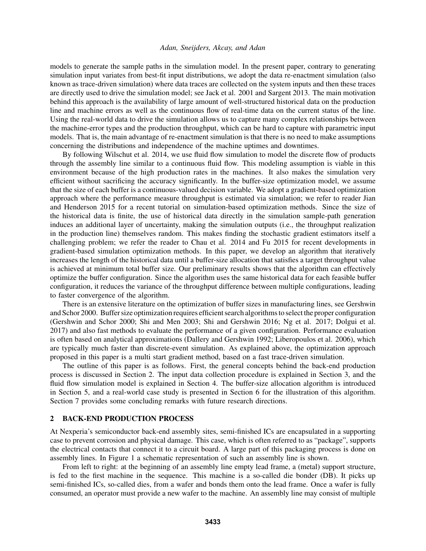models to generate the sample paths in the simulation model. In the present paper, contrary to generating simulation input variates from best-fit input distributions, we adopt the data re-enactment simulation (also known as trace-driven simulation) where data traces are collected on the system inputs and then these traces are directly used to drive the simulation model; see Jack et al. 2001 and Sargent 2013. The main motivation behind this approach is the availability of large amount of well-structured historical data on the production line and machine errors as well as the continuous flow of real-time data on the current status of the line. Using the real-world data to drive the simulation allows us to capture many complex relationships between the machine-error types and the production throughput, which can be hard to capture with parametric input models. That is, the main advantage of re-enactment simulation is that there is no need to make assumptions concerning the distributions and independence of the machine uptimes and downtimes.

By following Wilschut et al. 2014, we use fluid flow simulation to model the discrete flow of products through the assembly line similar to a continuous fluid flow. This modeling assumption is viable in this environment because of the high production rates in the machines. It also makes the simulation very efficient without sacrificing the accuracy significantly. In the buffer-size optimization model, we assume that the size of each buffer is a continuous-valued decision variable. We adopt a gradient-based optimization approach where the performance measure throughput is estimated via simulation; we refer to reader Jian and Henderson 2015 for a recent tutorial on simulation-based optimization methods. Since the size of the historical data is finite, the use of historical data directly in the simulation sample-path generation induces an additional layer of uncertainty, making the simulation outputs (i.e., the throughput realization in the production line) themselves random. This makes finding the stochastic gradient estimators itself a challenging problem; we refer the reader to Chau et al. 2014 and Fu 2015 for recent developments in gradient-based simulation optimization methods. In this paper, we develop an algorithm that iteratively increases the length of the historical data until a buffer-size allocation that satisfies a target throughput value is achieved at minimum total buffer size. Our preliminary results shows that the algorithm can effectively optimize the buffer configuration. Since the algorithm uses the same historical data for each feasible buffer configuration, it reduces the variance of the throughput difference between multiple configurations, leading to faster convergence of the algorithm.

There is an extensive literature on the optimization of buffer sizes in manufacturing lines, see Gershwin and Schor 2000. Buffer size optimization requires efficient search algorithms to select the proper configuration (Gershwin and Schor 2000; Shi and Men 2003; Shi and Gershwin 2016; Ng et al. 2017; Dolgui et al. 2017) and also fast methods to evaluate the performance of a given configuration. Performance evaluation is often based on analytical approximations (Dallery and Gershwin 1992; Liberopoulos et al. 2006), which are typically much faster than discrete-event simulation. As explained above, the optimization approach proposed in this paper is a multi start gradient method, based on a fast trace-driven simulation.

The outline of this paper is as follows. First, the general concepts behind the back-end production process is discussed in Section 2. The input data collection procedure is explained in Section 3, and the fluid flow simulation model is explained in Section 4. The buffer-size allocation algorithm is introduced in Section 5, and a real-world case study is presented in Section 6 for the illustration of this algorithm. Section 7 provides some concluding remarks with future research directions.

### 2 BACK-END PRODUCTION PROCESS

At Nexperia's semiconductor back-end assembly sites, semi-finished ICs are encapsulated in a supporting case to prevent corrosion and physical damage. This case, which is often referred to as "package", supports the electrical contacts that connect it to a circuit board. A large part of this packaging process is done on assembly lines. In Figure 1 a schematic representation of such an assembly line is shown.

From left to right: at the beginning of an assembly line empty lead frame, a (metal) support structure, is fed to the first machine in the sequence. This machine is a so-called die bonder (DB). It picks up semi-finished ICs, so-called dies, from a wafer and bonds them onto the lead frame. Once a wafer is fully consumed, an operator must provide a new wafer to the machine. An assembly line may consist of multiple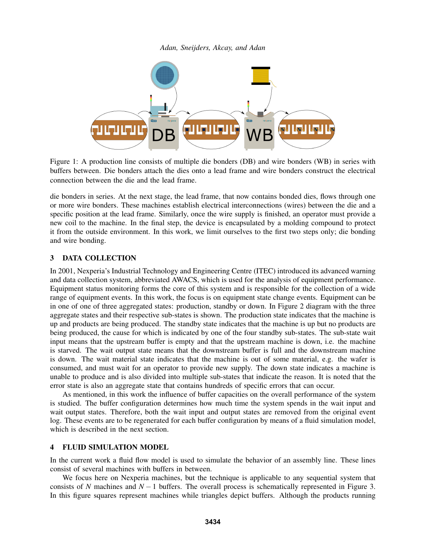

Figure 1: A production line consists of multiple die bonders (DB) and wire bonders (WB) in series with buffers between. Die bonders attach the dies onto a lead frame and wire bonders construct the electrical connection between the die and the lead frame.

die bonders in series. At the next stage, the lead frame, that now contains bonded dies, flows through one or more wire bonders. These machines establish electrical interconnections (wires) between the die and a specific position at the lead frame. Similarly, once the wire supply is finished, an operator must provide a new coil to the machine. In the final step, the device is encapsulated by a molding compound to protect it from the outside environment. In this work, we limit ourselves to the first two steps only; die bonding and wire bonding.

## 3 DATA COLLECTION

In 2001, Nexperia's Industrial Technology and Engineering Centre (ITEC) introduced its advanced warning and data collection system, abbreviated AWACS, which is used for the analysis of equipment performance. Equipment status monitoring forms the core of this system and is responsible for the collection of a wide range of equipment events. In this work, the focus is on equipment state change events. Equipment can be in one of one of three aggregated states: production, standby or down. In Figure 2 diagram with the three aggregate states and their respective sub-states is shown. The production state indicates that the machine is up and products are being produced. The standby state indicates that the machine is up but no products are being produced, the cause for which is indicated by one of the four standby sub-states. The sub-state wait input means that the upstream buffer is empty and that the upstream machine is down, i.e. the machine is starved. The wait output state means that the downstream buffer is full and the downstream machine is down. The wait material state indicates that the machine is out of some material, e.g. the wafer is consumed, and must wait for an operator to provide new supply. The down state indicates a machine is unable to produce and is also divided into multiple sub-states that indicate the reason. It is noted that the error state is also an aggregate state that contains hundreds of specific errors that can occur.

As mentioned, in this work the influence of buffer capacities on the overall performance of the system is studied. The buffer configuration determines how much time the system spends in the wait input and wait output states. Therefore, both the wait input and output states are removed from the original event log. These events are to be regenerated for each buffer configuration by means of a fluid simulation model, which is described in the next section.

## 4 FLUID SIMULATION MODEL

In the current work a fluid flow model is used to simulate the behavior of an assembly line. These lines consist of several machines with buffers in between.

We focus here on Nexperia machines, but the technique is applicable to any sequential system that consists of *N* machines and *N* −1 buffers. The overall process is schematically represented in Figure 3. In this figure squares represent machines while triangles depict buffers. Although the products running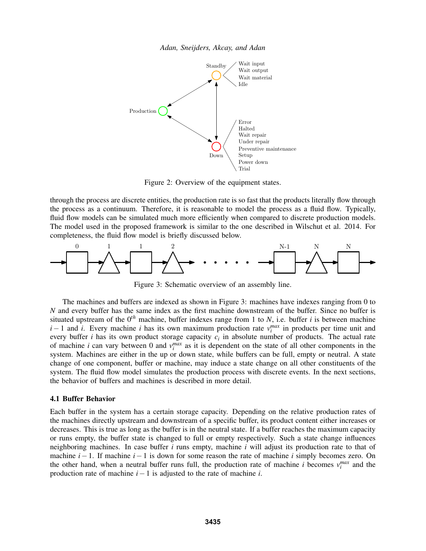



Figure 2: Overview of the equipment states.

through the process are discrete entities, the production rate is so fast that the products literally flow through the process as a continuum. Therefore, it is reasonable to model the process as a fluid flow. Typically, fluid flow models can be simulated much more efficiently when compared to discrete production models. The model used in the proposed framework is similar to the one described in Wilschut et al. 2014. For completeness, the fluid flow model is briefly discussed below.



Figure 3: Schematic overview of an assembly line.

The machines and buffers are indexed as shown in Figure 3: machines have indexes ranging from 0 to *N* and every buffer has the same index as the first machine downstream of the buffer. Since no buffer is situated upstream of the 0*th* machine, buffer indexes range from 1 to *N*, i.e. buffer *i* is between machine *i* − 1 and *i*. Every machine *i* has its own maximum production rate  $v_i^{max}$  in products per time unit and every buffer *i* has its own product storage capacity *c<sup>i</sup>* in absolute number of products. The actual rate of machine *i* can vary between 0 and  $v_i^{max}$  as it is dependent on the state of all other components in the system. Machines are either in the up or down state, while buffers can be full, empty or neutral. A state change of one component, buffer or machine, may induce a state change on all other constituents of the system. The fluid flow model simulates the production process with discrete events. In the next sections, the behavior of buffers and machines is described in more detail.

#### 4.1 Buffer Behavior

Each buffer in the system has a certain storage capacity. Depending on the relative production rates of the machines directly upstream and downstream of a specific buffer, its product content either increases or decreases. This is true as long as the buffer is in the neutral state. If a buffer reaches the maximum capacity or runs empty, the buffer state is changed to full or empty respectively. Such a state change influences neighboring machines. In case buffer *i* runs empty, machine *i* will adjust its production rate to that of machine *i*−1. If machine *i*−1 is down for some reason the rate of machine *i* simply becomes zero. On the other hand, when a neutral buffer runs full, the production rate of machine *i* becomes  $v_i^{max}$  and the production rate of machine *i*−1 is adjusted to the rate of machine *i*.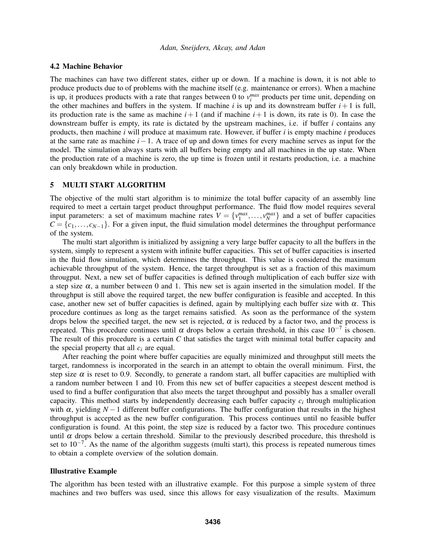#### 4.2 Machine Behavior

The machines can have two different states, either up or down. If a machine is down, it is not able to produce products due to of problems with the machine itself (e.g. maintenance or errors). When a machine is up, it produces products with a rate that ranges between 0 to  $v_i^{max}$  products per time unit, depending on the other machines and buffers in the system. If machine *i* is up and its downstream buffer  $i + 1$  is full, its production rate is the same as machine  $i+1$  (and if machine  $i+1$  is down, its rate is 0). In case the downstream buffer is empty, its rate is dictated by the upstream machines, i.e. if buffer *i* contains any products, then machine *i* will produce at maximum rate. However, if buffer *i* is empty machine *i* produces at the same rate as machine *i*−1. A trace of up and down times for every machine serves as input for the model. The simulation always starts with all buffers being empty and all machines in the up state. When the production rate of a machine is zero, the up time is frozen until it restarts production, i.e. a machine can only breakdown while in production.

### 5 MULTI START ALGORITHM

The objective of the multi start algorithm is to minimize the total buffer capacity of an assembly line required to meet a certain target product throughput performance. The fluid flow model requires several input parameters: a set of maximum machine rates  $V = \{v_1^{max}, \ldots, v_N^{max}\}\$  and a set of buffer capacities  $C = \{c_1, \ldots, c_{N-1}\}\.$  For a given input, the fluid simulation model determines the throughput performance of the system.

The multi start algorithm is initialized by assigning a very large buffer capacity to all the buffers in the system, simply to represent a system with infinite buffer capacities. This set of buffer capacities is inserted in the fluid flow simulation, which determines the throughput. This value is considered the maximum achievable throughput of the system. Hence, the target throughput is set as a fraction of this maximum througput. Next, a new set of buffer capacities is defined through multiplication of each buffer size with a step size  $\alpha$ , a number between 0 and 1. This new set is again inserted in the simulation model. If the throughput is still above the required target, the new buffer configuration is feasible and accepted. In this case, another new set of buffer capacities is defined, again by multiplying each buffer size with  $\alpha$ . This procedure continues as long as the target remains satisfied. As soon as the performance of the system drops below the specified target, the new set is rejected,  $\alpha$  is reduced by a factor two, and the process is repeated. This procedure continues until  $\alpha$  drops below a certain threshold, in this case  $10^{-7}$  is chosen. The result of this procedure is a certain *C* that satisfies the target with minimal total buffer capacity and the special property that all  $c_i$  are equal.

After reaching the point where buffer capacities are equally minimized and throughput still meets the target, randomness is incorporated in the search in an attempt to obtain the overall minimum. First, the step size  $\alpha$  is reset to 0.9. Secondly, to generate a random start, all buffer capacities are multiplied with a random number between 1 and 10. From this new set of buffer capacities a steepest descent method is used to find a buffer configuration that also meets the target throughput and possibly has a smaller overall capacity. This method starts by independently decreasing each buffer capacity *c<sup>i</sup>* through multiplication with  $\alpha$ , yielding *N* − 1 different buffer configurations. The buffer configuration that results in the highest throughput is accepted as the new buffer configuration. This process continues until no feasible buffer configuration is found. At this point, the step size is reduced by a factor two. This procedure continues until  $\alpha$  drops below a certain threshold. Similar to the previously described procedure, this threshold is set to  $10^{-7}$ . As the name of the algorithm suggests (multi start), this process is repeated numerous times to obtain a complete overview of the solution domain.

#### Illustrative Example

The algorithm has been tested with an illustrative example. For this purpose a simple system of three machines and two buffers was used, since this allows for easy visualization of the results. Maximum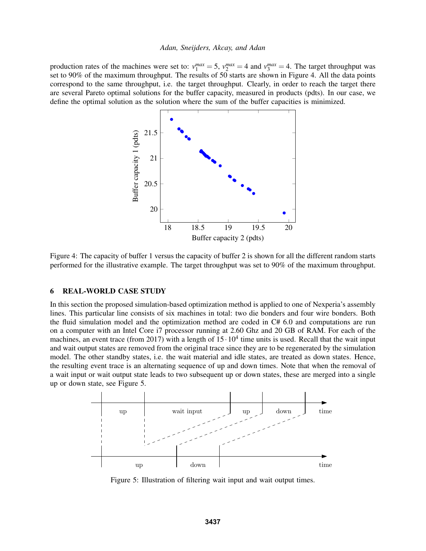production rates of the machines were set to:  $v_1^{max} = 5$ ,  $v_2^{max} = 4$  and  $v_3^{max} = 4$ . The target throughput was set to 90% of the maximum throughput. The results of 50 starts are shown in Figure 4. All the data points correspond to the same throughput, i.e. the target throughput. Clearly, in order to reach the target there are several Pareto optimal solutions for the buffer capacity, measured in products (pdts). In our case, we define the optimal solution as the solution where the sum of the buffer capacities is minimized.



Figure 4: The capacity of buffer 1 versus the capacity of buffer 2 is shown for all the different random starts performed for the illustrative example. The target throughput was set to 90% of the maximum throughput.

## 6 REAL-WORLD CASE STUDY

In this section the proposed simulation-based optimization method is applied to one of Nexperia's assembly lines. This particular line consists of six machines in total: two die bonders and four wire bonders. Both the fluid simulation model and the optimization method are coded in C# 6.0 and computations are run on a computer with an Intel Core i7 processor running at 2.60 Ghz and 20 GB of RAM. For each of the machines, an event trace (from 2017) with a length of  $15 \cdot 10^4$  time units is used. Recall that the wait input and wait output states are removed from the original trace since they are to be regenerated by the simulation model. The other standby states, i.e. the wait material and idle states, are treated as down states. Hence, the resulting event trace is an alternating sequence of up and down times. Note that when the removal of a wait input or wait output state leads to two subsequent up or down states, these are merged into a single up or down state, see Figure 5.



Figure 5: Illustration of filtering wait input and wait output times.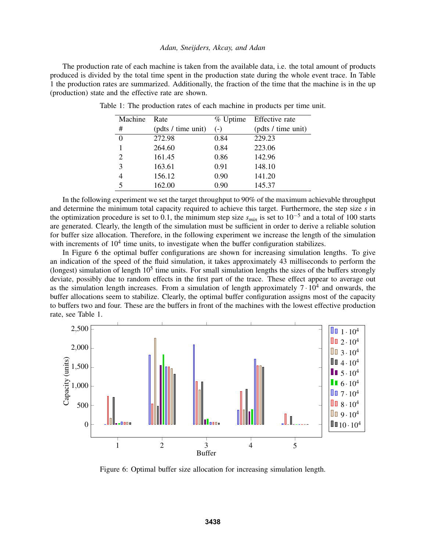The production rate of each machine is taken from the available data, i.e. the total amount of products produced is divided by the total time spent in the production state during the whole event trace. In Table 1 the production rates are summarized. Additionally, the fraction of the time that the machine is in the up (production) state and the effective rate are shown.

| Machine        | Rate               |       | % Uptime Effective rate |
|----------------|--------------------|-------|-------------------------|
| #              | (pdts / time unit) | $(-)$ | (pdts / time unit)      |
| $\overline{0}$ | 272.98             | 0.84  | 229.23                  |
| 1              | 264.60             | 0.84  | 223.06                  |
| $\overline{2}$ | 161.45             | 0.86  | 142.96                  |
| 3              | 163.61             | 0.91  | 148.10                  |
| 4              | 156.12             | 0.90  | 141.20                  |
| 5              | 162.00             | 0.90  | 145.37                  |

Table 1: The production rates of each machine in products per time unit.

In the following experiment we set the target throughput to 90% of the maximum achievable throughput and determine the minimum total capacity required to achieve this target. Furthermore, the step size *s* in the optimization procedure is set to 0.1, the minimum step size *smin* is set to 10−<sup>5</sup> and a total of 100 starts are generated. Clearly, the length of the simulation must be sufficient in order to derive a reliable solution for buffer size allocation. Therefore, in the following experiment we increase the length of the simulation with increments of  $10<sup>4</sup>$  time units, to investigate when the buffer configuration stabilizes.

In Figure 6 the optimal buffer configurations are shown for increasing simulation lengths. To give an indication of the speed of the fluid simulation, it takes approximately 43 milliseconds to perform the (longest) simulation of length  $10<sup>5</sup>$  time units. For small simulation lengths the sizes of the buffers strongly deviate, possibly due to random effects in the first part of the trace. These effect appear to average out as the simulation length increases. From a simulation of length approximately  $7 \cdot 10^4$  and onwards, the buffer allocations seem to stabilize. Clearly, the optimal buffer configuration assigns most of the capacity to buffers two and four. These are the buffers in front of the machines with the lowest effective production rate, see Table 1.



Figure 6: Optimal buffer size allocation for increasing simulation length.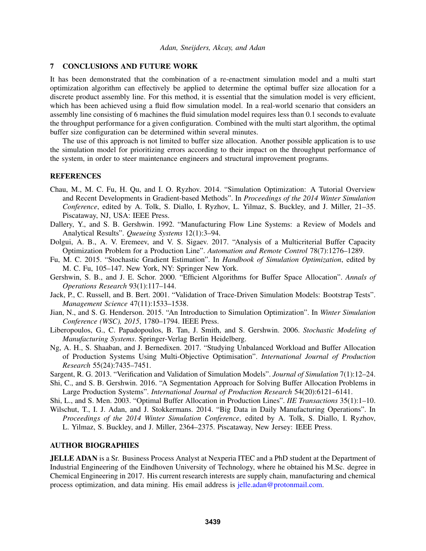### 7 CONCLUSIONS AND FUTURE WORK

It has been demonstrated that the combination of a re-enactment simulation model and a multi start optimization algorithm can effectively be applied to determine the optimal buffer size allocation for a discrete product assembly line. For this method, it is essential that the simulation model is very efficient, which has been achieved using a fluid flow simulation model. In a real-world scenario that considers an assembly line consisting of 6 machines the fluid simulation model requires less than 0.1 seconds to evaluate the throughput performance for a given configuration. Combined with the multi start algorithm, the optimal buffer size configuration can be determined within several minutes.

The use of this approach is not limited to buffer size allocation. Another possible application is to use the simulation model for prioritizing errors according to their impact on the throughput performance of the system, in order to steer maintenance engineers and structural improvement programs.

### REFERENCES

- Chau, M., M. C. Fu, H. Qu, and I. O. Ryzhov. 2014. "Simulation Optimization: A Tutorial Overview and Recent Developments in Gradient-based Methods". In *Proceedings of the 2014 Winter Simulation Conference*, edited by A. Tolk, S. Diallo, I. Ryzhov, L. Yilmaz, S. Buckley, and J. Miller, 21–35. Piscataway, NJ, USA: IEEE Press.
- Dallery, Y., and S. B. Gershwin. 1992. "Manufacturing Flow Line Systems: a Review of Models and Analytical Results". *Queueing Systems* 12(1):3–94.
- Dolgui, A. B., A. V. Eremeev, and V. S. Sigaev. 2017. "Analysis of a Multicriterial Buffer Capacity Optimization Problem for a Production Line". *Automation and Remote Control* 78(7):1276–1289.
- Fu, M. C. 2015. "Stochastic Gradient Estimation". In *Handbook of Simulation Optimization*, edited by M. C. Fu, 105–147. New York, NY: Springer New York.
- Gershwin, S. B., and J. E. Schor. 2000. "Efficient Algorithms for Buffer Space Allocation". *Annals of Operations Research* 93(1):117–144.
- Jack, P., C. Russell, and B. Bert. 2001. "Validation of Trace-Driven Simulation Models: Bootstrap Tests". *Management Science* 47(11):1533–1538.
- Jian, N., and S. G. Henderson. 2015. "An Introduction to Simulation Optimization". In *Winter Simulation Conference (WSC), 2015*, 1780–1794. IEEE Press.
- Liberopoulos, G., C. Papadopoulos, B. Tan, J. Smith, and S. Gershwin. 2006. *Stochastic Modeling of Manufacturing Systems*. Springer-Verlag Berlin Heidelberg.
- Ng, A. H., S. Shaaban, and J. Bernedixen. 2017. "Studying Unbalanced Workload and Buffer Allocation of Production Systems Using Multi-Objective Optimisation". *International Journal of Production Research* 55(24):7435–7451.
- Sargent, R. G. 2013. "Verification and Validation of Simulation Models". *Journal of Simulation* 7(1):12–24.
- Shi, C., and S. B. Gershwin. 2016. "A Segmentation Approach for Solving Buffer Allocation Problems in Large Production Systems". *International Journal of Production Research* 54(20):6121–6141.

Shi, L., and S. Men. 2003. "Optimal Buffer Allocation in Production Lines". *IIE Transactions* 35(1):1–10.

Wilschut, T., I. J. Adan, and J. Stokkermans. 2014. "Big Data in Daily Manufacturing Operations". In *Proceedings of the 2014 Winter Simulation Conference*, edited by A. Tolk, S. Diallo, I. Ryzhov, L. Yilmaz, S. Buckley, and J. Miller, 2364–2375. Piscataway, New Jersey: IEEE Press.

# AUTHOR BIOGRAPHIES

JELLE ADAN is a Sr. Business Process Analyst at Nexperia ITEC and a PhD student at the Department of Industrial Engineering of the Eindhoven University of Technology, where he obtained his M.Sc. degree in Chemical Engineering in 2017. His current research interests are supply chain, manufacturing and chemical process optimization, and data mining. His email address is jelle.adan@protonmail.com.